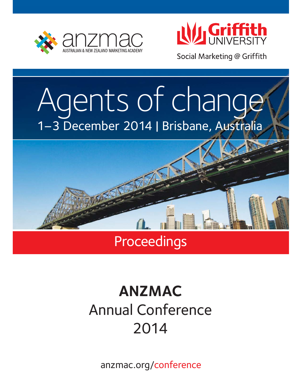



Social Marketing @ Griffith

# Agents of change 1–3 December 2014 | Brisbane, Australia



### **Proceedings**

## **ANZMAC** Annual Conference 2014

anzmac.org/conference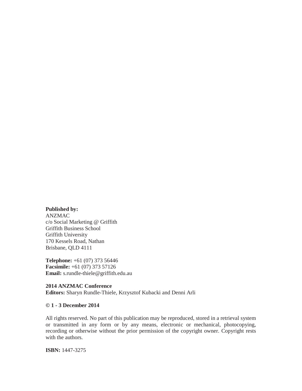**Published by:**  ANZMAC c/o Social Marketing @ Griffith Griffith Business School Griffith University 170 Kessels Road, Nathan Brisbane, QLD 4111

**Telephone:** +61 (07) 373 56446 **Facsimile:** +61 (07) 373 57126 **Email:** s.rundle-thiele@griffith.edu.au

**2014 ANZMAC Conference Editors:** Sharyn Rundle-Thiele, Krzysztof Kubacki and Denni Arli

#### **© 1 - 3 December 2014**

All rights reserved. No part of this publication may be reproduced, stored in a retrieval system or transmitted in any form or by any means, electronic or mechanical, photocopying, recording or otherwise without the prior permission of the copyright owner. Copyright rests with the authors.

**ISBN:** 1447-3275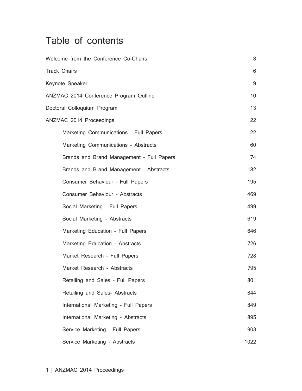### Table of contents

| Welcome from the Conference Co-Chairs<br>3                |      |  |  |
|-----------------------------------------------------------|------|--|--|
| <b>Track Chairs</b>                                       |      |  |  |
| Keynote Speaker                                           | 9    |  |  |
| ANZMAC 2014 Conference Program Outline<br>10 <sup>°</sup> |      |  |  |
| Doctoral Colloquium Program<br>13                         |      |  |  |
| ANZMAC 2014 Proceedings                                   | 22   |  |  |
| Marketing Communications - Full Papers                    | 22   |  |  |
| Marketing Communications - Abstracts                      | 60   |  |  |
| Brands and Brand Management - Full Papers                 | 74   |  |  |
| Brands and Brand Management - Abstracts                   | 182  |  |  |
| Consumer Behaviour - Full Papers                          | 195  |  |  |
| Consumer Behaviour - Abstracts                            | 469  |  |  |
| Social Marketing - Full Papers                            |      |  |  |
| Social Marketing - Abstracts                              | 619  |  |  |
| Marketing Education - Full Papers                         | 646  |  |  |
| Marketing Education - Abstracts                           |      |  |  |
| Market Research - Full Papers                             | 728  |  |  |
| Market Research - Abstracts                               |      |  |  |
| Retailing and Sales - Full Papers                         | 801  |  |  |
| Retailing and Sales- Abstracts                            | 844  |  |  |
| International Marketing - Full Papers                     | 849  |  |  |
| International Marketing - Abstracts                       | 895  |  |  |
| Service Marketing - Full Papers                           | 903  |  |  |
| Service Marketing - Abstracts                             | 1022 |  |  |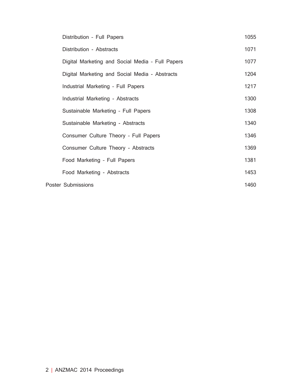| Distribution - Full Papers                       | 1055 |
|--------------------------------------------------|------|
| Distribution - Abstracts                         | 1071 |
| Digital Marketing and Social Media - Full Papers | 1077 |
| Digital Marketing and Social Media - Abstracts   | 1204 |
| Industrial Marketing - Full Papers               | 1217 |
| Industrial Marketing - Abstracts                 | 1300 |
| Sustainable Marketing - Full Papers              | 1308 |
| Sustainable Marketing - Abstracts                | 1340 |
| Consumer Culture Theory - Full Papers            | 1346 |
| Consumer Culture Theory - Abstracts              | 1369 |
| Food Marketing - Full Papers                     | 1381 |
| Food Marketing - Abstracts                       | 1453 |
| Poster Submissions                               | 1460 |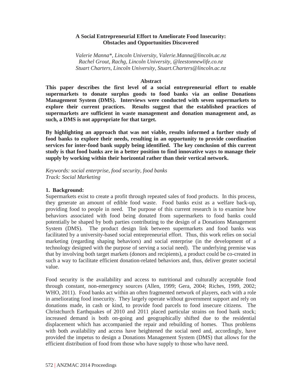#### **A Social Entrepreneurial Effort to Ameliorate Food Insecurity: Obstacles and Opportunities Discovered**

*Valerie Manna\*, Lincoln University, Valerie.Manna@lincoln.ac.nz Rachel Grout, Rachg, Lincoln University, @leestonnewlife.co.nz Stuart Charters, Lincoln University, Stuart.Charters@lincoln.ac.nz* 

#### **Abstract**

**This paper describes the first level of a social entrepreneurial effort to enable supermarkets to donate surplus goods to food banks via an online Donations Management System (DMS). Interviews were conducted with seven supermarkets to explore their current practices. Results suggest that the established practices of supermarkets are sufficient in waste management and donation management and, as such, a DMS is not appropriate for that target.** 

**By highlighting an approach that was not viable, results informed a further study of food banks to explore their needs, resulting in an opportunity to provide coordination services for inter-food bank supply being identified. The key conclusion of this current study is that food banks are in a better position to find innovative ways to manage their supply by working within their horizontal rather than their vertical network.** 

*Keywords: social enterprise, food security, food banks Track: Social Marketing* 

#### **1. Background:**

Supermarkets exist to create a profit through repeated sales of food products. In this process, they generate an amount of edible food waste. Food banks exist as a welfare back-up, providing food to people in need. The purpose of this current research is to examine how behaviors associated with food being donated from supermarkets to food banks could potentially be shaped by both parties contributing to the design of a Donations Management System (DMS). The product design link between supermarkets and food banks was facilitated by a university-based social entrepreneurial effort. Thus, this work relies on social marketing (regarding shaping behaviors) and social enterprise (in the development of a technology designed with the purpose of serving a social need). The underlying premise was that by involving both target markets (donors and recipients), a product could be co-created in such a way to facilitate efficient donation-related behaviors and, thus, deliver greater societal value.

Food security is the availability and access to nutritional and culturally acceptable food through constant, non-emergency sources (Allen, 1999; Gera, 2004; Riches, 1999, 2002; WHO, 2011). Food banks act within an often fragmented network of players, each with a role in ameliorating food insecurity. They largely operate without government support and rely on donations made, in cash or kind, to provide food parcels to food insecure citizens. The Christchurch Earthquakes of 2010 and 2011 placed particular strains on food bank stock; increased demand is both on-going and geographically shifted due to the residential displacement which has accompanied the repair and rebuilding of homes. Thus problems with both availability and access have heightened the social need and, accordingly, have provided the impetus to design a Donations Management System (DMS) that allows for the efficient distribution of food from those who have supply to those who have need.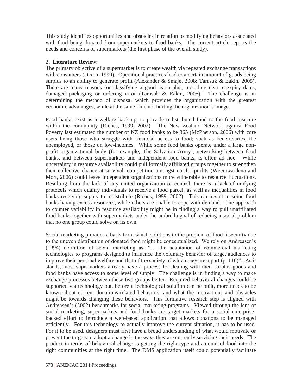This study identifies opportunities and obstacles in relation to modifying behaviors associated with food being donated from supermarkets to food banks. The current article reports the needs and concerns of supermarkets (the first phase of the overall study).

#### **2. Literature Review:**

The primary objective of a supermarket is to create wealth via repeated exchange transactions with consumers (Dixon, 1999). Operational practices lead to a certain amount of goods being surplus to an ability to generate profit (Alexander & Smaje, 2008; Tarasuk & Eakin, 2005). There are many reasons for classifying a good as surplus, including near-to-expiry dates, damaged packaging or ordering error (Tarasuk & Eakin, 2005). The challenge is in determining the method of disposal which provides the organization with the greatest economic advantages, while at the same time not hurting the organization's image.

Food banks exist as a welfare back-up, to provide redistributed food to the food insecure within the community (Riches, 1999, 2002). The New Zealand Network against Food Poverty last estimated the number of NZ food banks to be 365 (McPherson, 2006) with core users being those who struggle with financial access to food; such as beneficiaries, the unemployed, or those on low-incomes. While some food banks operate under a large nonprofit organizational body (for example, The Salvation Army), networking between food banks, and between supermarkets and independent food banks, is often ad hoc. While uncertainty in resource availability could pull formally affiliated groups together to strengthen their collective chance at survival, competition amongst not-for-profits (Weerawardena and Mort, 2006) could leave independent organizations more vulnerable to resource fluctuations. Resulting from the lack of any united organization or control, there is a lack of unifying protocols which qualify individuals to receive a food parcel, as well as inequalities in food banks receiving supply to redistribute (Riches, 1999, 2002). This can result in some food banks having excess resources, while others are unable to cope with demand. One approach to counter variability in resource availability might be in finding a way to pull unaffiliated food banks together with supermarkets under the umbrella goal of reducing a social problem that no one group could solve on its own.

Social marketing provides a basis from which solutions to the problem of food insecurity due to the uneven distribution of donated food might be conceptualized. We rely on Andreasen's (1994) definition of social marketing as: "... the adaptation of commercial marketing technologies to programs designed to influence the voluntary behavior of target audiences to improve their personal welfare and that of the society of which they are a part  $(p. 110)$ ". As it stands, most supermarkets already have a process for dealing with their surplus goods and food banks have access to some level of supply. The challenge is in finding a way to make exchange processes between these two groups better. Required behavioral changes could be supported via technology but, before a technological solution can be built, more needs to be known about current donations-related behaviors, and what the motivations and obstacles might be towards changing these behaviors. This formative research step is aligned with Andreasen's (2002) benchmarks for social marketing programs. Viewed through the lens of social marketing, supermarkets and food banks are target markets for a social enterprisebacked effort to introduce a web-based application that allows donations to be managed efficiently. For this technology to actually improve the current situation, it has to be used. For it to be used, designers must first have a broad understanding of what would motivate or prevent the targets to adopt a change in the ways they are currently servicing their needs. The product in terms of behavioral change is getting the right type and amount of food into the right communities at the right time. The DMS application itself could potentially facilitate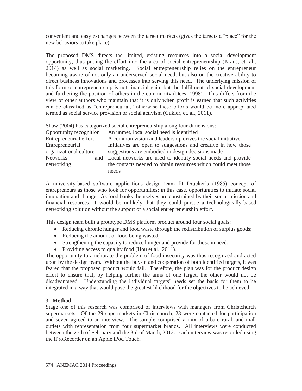convenient and easy exchanges between the target markets (gives the targets a "place" for the new behaviors to take place).

The proposed DMS directs the limited, existing resources into a social development opportunity, thus putting the effort into the area of social entrepreneurship (Kraus, et. al., 2014) as well as social marketing. Social entrepreneurship relies on the entrepreneur becoming aware of not only an underserved social need, but also on the creative ability to direct business innovations and processes into serving this need. The underlying mission of this form of entrepreneurship is not financial gain, but the fulfilment of social development and furthering the position of others in the community (Dees, 1998). This differs from the view of other authors who maintain that it is only when profit is earned that such activities can be classified as "entrepreneurial," otherwise these efforts would be more appropriated termed as social service provision or social activism (Cukier, et. al., 2011).

Shaw (2004) has categorized social entrepreneurship along four dimensions:

| Opportunity recognition |  | An unmet, local social need is identified                        |
|-------------------------|--|------------------------------------------------------------------|
| Entrepreneurial effort  |  | A common vision and leadership drives the social initiative      |
| Entrepreneurial         |  | Initiatives are open to suggestions and creative in how those    |
| organizational culture  |  | suggestions are embodied in design decisions made                |
| <b>Networks</b>         |  | and Local networks are used to identify social needs and provide |
| networking              |  | the contacts needed to obtain resources which could meet those   |
|                         |  | needs                                                            |

A university-based software applications design team fit Drucker's (1985) concept of entrepreneurs as those who look for opportunities; in this case, opportunities to initiate social innovation and change. As food banks themselves are constrained by their social mission and financial resources, it would be unlikely that they could pursue a technologically-based networking solution without the support of a social entrepreneurship effort.

This design team built a prototype DMS platform product around four social goals:

- $\bullet$  Reducing chronic hunger and food waste through the redistribution of surplus goods;
- Reducing the amount of food being wasted;
- Strengthening the capacity to reduce hunger and provide for those in need;
- Providing access to quality food (Hou et al., 2011).

The opportunity to ameliorate the problem of food insecurity was thus recognized and acted upon by the design team. Without the buy-in and cooperation of both identified targets, it was feared that the proposed product would fail. Therefore, the plan was for the product design effort to ensure that, by helping further the aims of one target, the other would not be disadvantaged. Understanding the individual targets' needs set the basis for them to be integrated in a way that would pose the greatest likelihood for the objectives to be achieved.

#### **3. Method**

Stage one of this research was comprised of interviews with managers from Christchurch supermarkets. Of the 29 supermarkets in Christchurch, 23 were contacted for participation and seven agreed to an interview. The sample comprised a mix of urban, rural, and mall outlets with representation from four supermarket brands. All interviews were conducted between the 27th of February and the 3rd of March, 2012. Each interview was recorded using the iProRecorder on an Apple iPod Touch.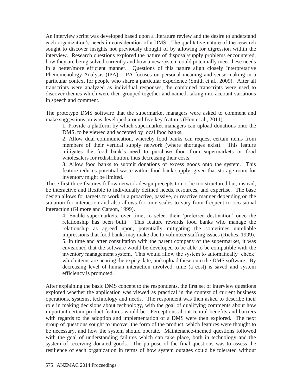An interview script was developed based upon a literature review and the desire to understand each organization's needs in consideration of a DMS. The qualitative nature of the research sought to discover insights not previously thought of by allowing for digression within the interview. Research questions explored the nature of disposal/supply problems encountered, how they are being solved currently and how a new system could potentially meet these needs in a better/more efficient manner. Questions of this nature align closely Interpretative Phenomenology Analysis (IPA). IPA focuses on personal meaning and sense-making in a particular context for people who share a particular experience (Smith et al., 2009). After all transcripts were analyzed as individual responses, the combined transcripts were used to discover themes which were then grouped together and named, taking into account variations in speech and comment.

The prototype DMS software that the supermarket managers were asked to comment and make suggestions on was developed around five key features (Hou et al., 2011):

1. Provide a platform by which supermarket managers can upload donations onto the DMS, to be viewed and accepted by local food banks.

2. Allow dual communication, whereby food banks can request certain items from members of their vertical supply network (where shortages exist). This feature mitigates the food bank's need to purchase food from supermarkets or food wholesalers for redistribution, thus decreasing their costs.

3. Allow food banks to submit donations of excess goods onto the system. This feature reduces potential waste within food bank supply, given that storage room for inventory might be limited.

These first three features follow network design precepts to not be too structured but, instead, be interactive and flexible to individually defined needs, resources, and expertise. The base design allows for targets to work in a proactive, passive, or reactive manner depending on the situation for interaction and also allows for time-scales to vary from frequent to occasional interaction (Gilmore and Carson, 1999).

4. Enable supermarkets, over time, to select their 'preferred destination' once the relationship has been built. This feature rewards food banks who manage the relationship as agreed upon, potentially mitigating the sometimes unreliable impressions that food banks may make due to volunteer staffing issues (Riches, 1999). 5. In time and after consultation with the parent company of the supermarket, it was envisioned that the software would be developed to be able to be compatible with the inventory management system. This would allow the system to automatically 'check' which items are nearing the expiry date, and upload these onto the DMS software. By decreasing level of human interaction involved, time (a cost) is saved and system efficiency is promoted.

After explaining the basic DMS concept to the respondents, the first set of interview questions explored whether the application was viewed as practical in the context of current business operations, systems, technology and needs. The respondent was then asked to describe their role in making decisions about technology, with the goal of qualifying comments about how important certain product features would be. Perceptions about central benefits and barriers with regards to the adoption and implementation of a DMS were then explored. The next group of questions sought to uncover the form of the product, which features were thought to be necessary, and how the system should operate. Maintenance-themed questions followed with the goal of understanding failures which can take place, both in technology and the system of receiving donated goods. The purpose of the final questions was to assess the resilience of each organization in terms of how system outages could be tolerated without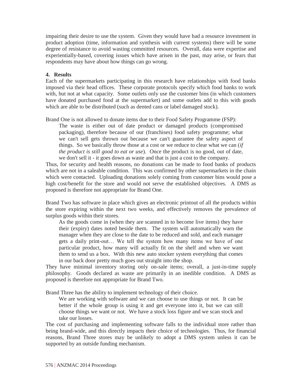impairing their desire to use the system. Given they would have had a resource investment in product adoption (time, information and synthesis with current systems) there will be some degree of resistance to avoid wasting committed resources. Overall, data were expertise and experientially-based, covering issues which have arisen in the past, may arise, or fears that respondents may have about how things can go wrong.

#### **4. Results**

Each of the supermarkets participating in this research have relationships with food banks imposed via their head offices. These corporate protocols specify which food banks to work with, but not at what capacity. Some outlets only use the customer bins (in which customers have donated purchased food at the supermarket) and some outlets add to this with goods which are able to be distributed (such as dented cans or label damaged stock).

Brand One is not allowed to donate items due to their Food Safety Programme (FSP):

The waste is either out of date product or damaged products (compromised packaging), therefore because of our (franchises) food safety programme; what we can't sell gets thrown out because we can't guarantee the safety aspect of things. So we basically throw those at a cost or we reduce to clear what we can (*if the product is still good to eat or use*). Once the product is no good, out of date, we don't sell it - it goes down as waste and that is just a cost to the company.

Thus, for security and health reasons, no donations can be made to food banks of products which are not in a saleable condition. This was confirmed by other supermarkets in the chain which were contacted. Uploading donations solely coming from customer bins would pose a high cost/benefit for the store and would not serve the established objectives. A DMS as proposed is therefore not appropriate for Brand One.

Brand Two has software in place which gives an electronic printout of all the products within the store expiring within the next two weeks, and effectively removes the prevalence of surplus goods within their stores.

As the goods come in (when they are scanned in to become live items) they have their (expiry) dates noted beside them. The system will automatically warn the manager when they are close to the date to be reduced and sold, and each manager gets a daily print-out... We tell the system how many items we have of one particular product, how many will actually fit on the shelf and when we want them to send us a box. With this new auto stocker system everything that comes in our back door pretty much goes out straight into the shop.

They have minimal inventory storing only on-sale items; overall, a just-in-time supply philosophy. Goods declared as waste are primarily in an inedible condition. A DMS as proposed is therefore not appropriate for Brand Two.

Brand Three has the ability to implement technology of their choice.

We are working with software and we can choose to use things or not. It can be better if the whole group is using it and get everyone into it, but we can still choose things we want or not. We have a stock loss figure and we scan stock and take our losses.

The cost of purchasing and implementing software falls to the individual store rather than being brand-wide, and this directly impacts their choice of technologies. Thus, for financial reasons, Brand Three stores may be unlikely to adopt a DMS system unless it can be supported by an outside funding mechanism.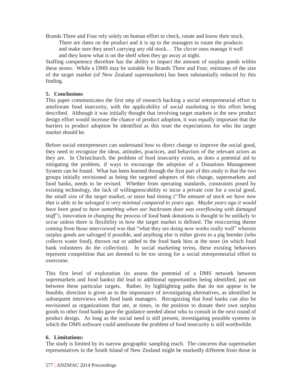Brands Three and Four rely solely on human effort to check, rotate and know their stock.

There are dates on the product and it is up to the managers to rotate the products and make sure they aren't carrying any old stock... The clever ones manage it well and they know what is on the shelf when they go away at night.

Staffing competence therefore has the ability to impact the amount of surplus goods within these stores. While a DMS may be suitable for Brands Three and Four, estimates of the size of the target market (of New Zealand supermarkets) has been substantially reduced by this finding.

#### **5. Conclusions**

This paper communicates the first step of research backing a social entrepreneurial effort to ameliorate food insecurity, with the applicability of social marketing to this effort being described. Although it was initially thought that involving target markets in the new product design effort would increase the chance of product adoption, it was equally important that the barriers to product adoption be identified as this reset the expectations for who the target market should be.

Before social entrepreneurs can understand how to direct change to improve the social good, they need to recognize the ideas, attitudes, practices, and behaviors of the relevant actors as they are. In Christchurch, the problem of food insecurity exists, as does a potential aid to mitigating the problem, if ways to encourage the adoption of a Donations Management System can be found. What has been learned through the first part of this study is that the two groups initially envisioned as being the targeted adopters of this change, supermarkets and food banks, needs to be revised. Whether from operating standards, constraints posed by existing technology, the lack of willingness/ability to incur a private cost for a social good, the small size of the target market, or mere bad timing ("The amount of stock we have now *that is able to be salvaged is very minimal compared to years ago. Maybe years ago it would have been good to have something when our backroom door was overflowing with damaged stuff*"), innovation in changing the process of food bank donations is thought to be unlikely to occur unless there is flexibility in how the target market is defined. The reoccurring theme coming from those interviewed was that "what they are doing now works really well" wherein surplus goods are salvaged if possible, and anything else is either given to a pig breeder (who collects waste food), thrown out or added to the food bank bins at the store (in which food bank volunteers do the collection). In social marketing terms, these existing behaviors represent competition that are deemed to be too strong for a social entrepreneurial effort to overcome.

This first level of exploration (to assess the potential of a DMS network between supermarkets and food banks) did lead to additional opportunities being identified, just not between these particular targets. Rather, by highlighting paths that do not appear to be feasible, direction is given as to the importance of investigating alternatives, as identified in subsequent interviews with food bank managers. Recognizing that food banks can also be envisioned as organizations that are, at times, in the position to donate their own surplus goods to other food banks gave the guidance needed about who to consult in the next round of product design. As long as the social need is still present, investigating possible systems in which the DMS software could ameliorate the problem of food insecurity is still worthwhile.

#### **6. Limitations:**

The study is limited by its narrow geographic sampling reach. The concerns that supermarket representatives in the South Island of New Zealand might be markedly different from those in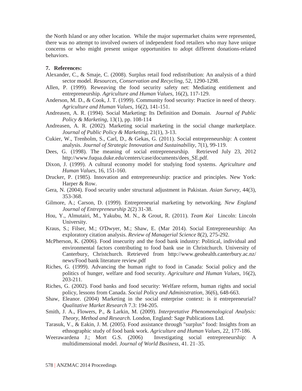the North Island or any other location. While the major supermarket chains were represented, there was no attempt to involved owners of independent food retailers who may have unique concerns or who might present unique opportunities to adopt different donations-related behaviors.

#### **7. References:**

- Alexander, C., & Smaje, C. (2008). Surplus retail food redistribution: An analysis of a third sector model. *Resources, Conservation and Recycling*, 52, 1290-1298.
- Allen, P. (1999). Reweaving the food security safety net: Mediating entitlement and entrepreneurship. *Agriculture and Human Values*, 16(2), 117-129.
- Anderson, M. D., & Cook, J. T. (1999). Community food security: Practice in need of theory. *Agriculture and Human Values*, 16(2), 141-151.
- Andreasen, A. R. (1994). Social Marketing: Its Definition and Domain. *Journal of Public Policy & Marketing*, 13(1), pp. 108-114
- Andreasen, A. R. (2002). Marketing social marketing in the social change marketplace. *Journal of Public Policy & Marketing,* 21(1), 3-13.
- Cukier, W., Trenholm, S., Carl, D., & Gekas, G. (2011). Social entrepreneurship: A content analysis. *Journal of Strategic Innovation and Sustainability,* 7(1), 99-119.
- Dees, G. (1998). The meaning of social entrepreneurship. Retrieved July 23, 2012 http://www.fuqua.duke.edu/centers/case/documents/dees\_SE.pdf.
- Dixon, J. (1999). A cultural economy model for studying food systems. *Agriculture and Human Values*, 16, 151-160.
- Drucker, P. (1985). Innovation and entrepreneurship: practice and principles. New York: Harper & Row.
- Gera, N. (2004). Food security under structural adjustment in Pakistan. *Asian Survey*, 44(3), 353-368.
- Gilmore, A.; Carson, D. (1999). Entrepreneurial marketing by networking. *New England Journal of Entrepreneurship* 2(2) 31-38.
- Hou, Y., Almutairi, M., Yakubu, M. N., & Grout, R. (2011). *Team Kai* Lincoln: Lincoln University.
- Kraus, S.; Filser, M.; O'Dwyer, M.; Shaw, E. (Mar 2014). Social Entrepreneurship: An exploratory citation analysis. *Review of Managerial Science* 8(2), 275-292.
- McPherson, K. (2006). Food insecurity and the food bank industry: Political, individual and environmental factors contributing to food bank use in Christchurch. University of Canterbury, Christchurch. Retrieved from http://www.geohealth.canterbury.ac.nz/ news/Food bank literature review.pdf
- Riches, G. (1999). Advancing the human right to food in Canada: Social policy and the politics of hunger, welfare and food security. *Agriculture and Human Values*, 16(2), 203-211.
- Riches, G. (2002). Food banks and food security: Welfare reform, human rights and social policy, lessons from Canada. *Social Policy and Administration*, 36(6), 648-663.
- Shaw, Eleanor. (2004) Marketing in the social enterprise context: is it entrepreneurial? *Qualitative Market Research* 7.3: 194-205.
- Smith, J. A., Flowers, P., & Larkin, M. (2009). *Interpretative Phenomenological Analysis: Theory, Method and Research*. London, England: Sage Publications Ltd.
- Tarasuk, V., & Eakin, J. M. (2005). Food assistance through "surplus" food: Insights from an ethnographic study of food bank work. *Agriculture and Human Values*, 22, 177-186.
- Weerawardena J.; Mort G.S. (2006) Investigating social entrepreneurship: A multidimensional model. *Journal of World Business*, 41. 21-35.